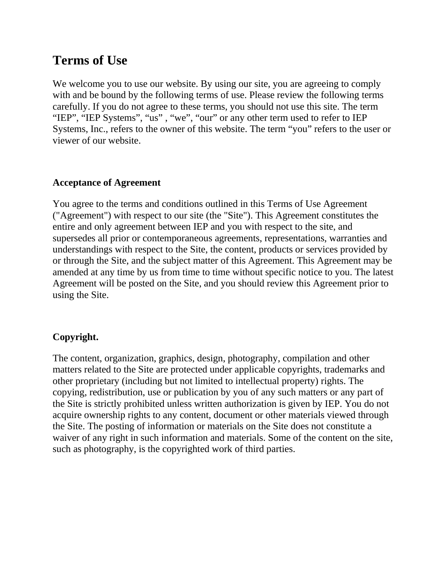# **Terms of Use**

We welcome you to use our website. By using our site, you are agreeing to comply with and be bound by the following terms of use. Please review the following terms carefully. If you do not agree to these terms, you should not use this site. The term "IEP", "IEP Systems", "us", "we", "our" or any other term used to refer to IEP Systems, Inc., refers to the owner of this website. The term "you" refers to the user or viewer of our website.

## **Acceptance of Agreement**

You agree to the terms and conditions outlined in this Terms of Use Agreement ("Agreement") with respect to our site (the "Site"). This Agreement constitutes the entire and only agreement between IEP and you with respect to the site, and supersedes all prior or contemporaneous agreements, representations, warranties and understandings with respect to the Site, the content, products or services provided by or through the Site, and the subject matter of this Agreement. This Agreement may be amended at any time by us from time to time without specific notice to you. The latest Agreement will be posted on the Site, and you should review this Agreement prior to using the Site.

## **Copyright.**

The content, organization, graphics, design, photography, compilation and other matters related to the Site are protected under applicable copyrights, trademarks and other proprietary (including but not limited to intellectual property) rights. The copying, redistribution, use or publication by you of any such matters or any part of the Site is strictly prohibited unless written authorization is given by IEP. You do not acquire ownership rights to any content, document or other materials viewed through the Site. The posting of information or materials on the Site does not constitute a waiver of any right in such information and materials. Some of the content on the site, such as photography, is the copyrighted work of third parties.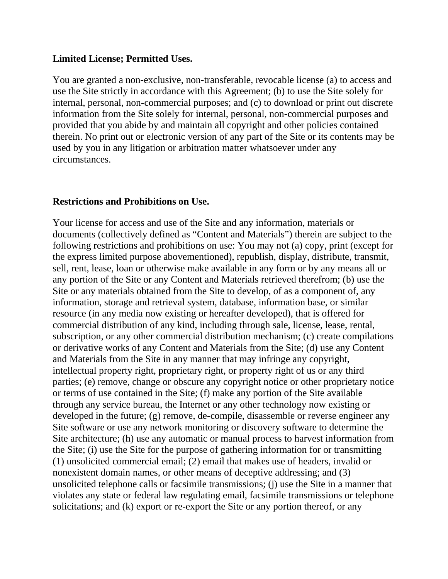#### **Limited License; Permitted Uses.**

You are granted a non-exclusive, non-transferable, revocable license (a) to access and use the Site strictly in accordance with this Agreement; (b) to use the Site solely for internal, personal, non-commercial purposes; and (c) to download or print out discrete information from the Site solely for internal, personal, non-commercial purposes and provided that you abide by and maintain all copyright and other policies contained therein. No print out or electronic version of any part of the Site or its contents may be used by you in any litigation or arbitration matter whatsoever under any circumstances.

### **Restrictions and Prohibitions on Use.**

Your license for access and use of the Site and any information, materials or documents (collectively defined as "Content and Materials") therein are subject to the following restrictions and prohibitions on use: You may not (a) copy, print (except for the express limited purpose abovementioned), republish, display, distribute, transmit, sell, rent, lease, loan or otherwise make available in any form or by any means all or any portion of the Site or any Content and Materials retrieved therefrom; (b) use the Site or any materials obtained from the Site to develop, of as a component of, any information, storage and retrieval system, database, information base, or similar resource (in any media now existing or hereafter developed), that is offered for commercial distribution of any kind, including through sale, license, lease, rental, subscription, or any other commercial distribution mechanism; (c) create compilations or derivative works of any Content and Materials from the Site; (d) use any Content and Materials from the Site in any manner that may infringe any copyright, intellectual property right, proprietary right, or property right of us or any third parties; (e) remove, change or obscure any copyright notice or other proprietary notice or terms of use contained in the Site; (f) make any portion of the Site available through any service bureau, the Internet or any other technology now existing or developed in the future; (g) remove, de-compile, disassemble or reverse engineer any Site software or use any network monitoring or discovery software to determine the Site architecture; (h) use any automatic or manual process to harvest information from the Site; (i) use the Site for the purpose of gathering information for or transmitting (1) unsolicited commercial email; (2) email that makes use of headers, invalid or nonexistent domain names, or other means of deceptive addressing; and (3) unsolicited telephone calls or facsimile transmissions; (j) use the Site in a manner that violates any state or federal law regulating email, facsimile transmissions or telephone solicitations; and (k) export or re-export the Site or any portion thereof, or any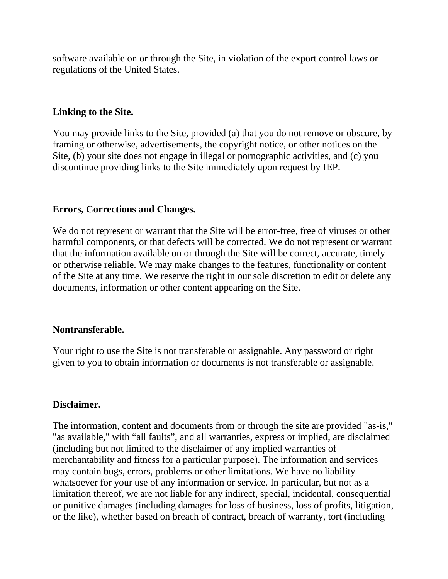software available on or through the Site, in violation of the export control laws or regulations of the United States.

## **Linking to the Site.**

You may provide links to the Site, provided (a) that you do not remove or obscure, by framing or otherwise, advertisements, the copyright notice, or other notices on the Site, (b) your site does not engage in illegal or pornographic activities, and (c) you discontinue providing links to the Site immediately upon request by IEP.

### **Errors, Corrections and Changes.**

We do not represent or warrant that the Site will be error-free, free of viruses or other harmful components, or that defects will be corrected. We do not represent or warrant that the information available on or through the Site will be correct, accurate, timely or otherwise reliable. We may make changes to the features, functionality or content of the Site at any time. We reserve the right in our sole discretion to edit or delete any documents, information or other content appearing on the Site.

### **Nontransferable.**

Your right to use the Site is not transferable or assignable. Any password or right given to you to obtain information or documents is not transferable or assignable.

### **Disclaimer.**

The information, content and documents from or through the site are provided "as-is," "as available," with "all faults", and all warranties, express or implied, are disclaimed (including but not limited to the disclaimer of any implied warranties of merchantability and fitness for a particular purpose). The information and services may contain bugs, errors, problems or other limitations. We have no liability whatsoever for your use of any information or service. In particular, but not as a limitation thereof, we are not liable for any indirect, special, incidental, consequential or punitive damages (including damages for loss of business, loss of profits, litigation, or the like), whether based on breach of contract, breach of warranty, tort (including